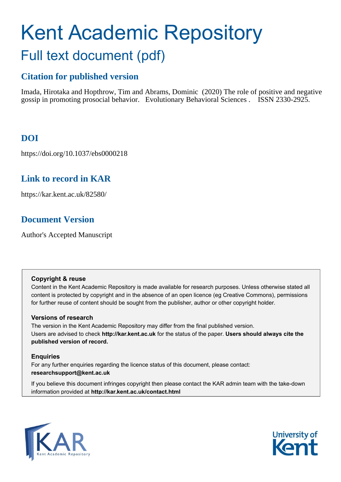# Kent Academic Repository Full text document (pdf)

# **Citation for published version**

Imada, Hirotaka and Hopthrow, Tim and Abrams, Dominic (2020) The role of positive and negative gossip in promoting prosocial behavior. Evolutionary Behavioral Sciences . ISSN 2330-2925.

# **DOI**

https://doi.org/10.1037/ebs0000218

# **Link to record in KAR**

https://kar.kent.ac.uk/82580/

# **Document Version**

Author's Accepted Manuscript

## **Copyright & reuse**

Content in the Kent Academic Repository is made available for research purposes. Unless otherwise stated all content is protected by copyright and in the absence of an open licence (eg Creative Commons), permissions for further reuse of content should be sought from the publisher, author or other copyright holder.

# **Versions of research**

The version in the Kent Academic Repository may differ from the final published version. Users are advised to check **http://kar.kent.ac.uk** for the status of the paper. **Users should always cite the published version of record.**

# **Enquiries**

For any further enquiries regarding the licence status of this document, please contact: **researchsupport@kent.ac.uk**

If you believe this document infringes copyright then please contact the KAR admin team with the take-down information provided at **http://kar.kent.ac.uk/contact.html**



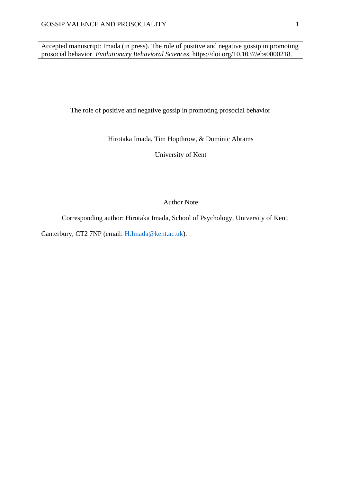Accepted manuscript: Imada (in press). The role of positive and negative gossip in promoting prosocial behavior. *Evolutionary Behavioral Sciences*, https://doi.org/10.1037/ebs0000218.

The role of positive and negative gossip in promoting prosocial behavior

Hirotaka Imada, Tim Hopthrow, & Dominic Abrams

University of Kent

Author Note

Corresponding author: Hirotaka Imada, School of Psychology, University of Kent,

Canterbury, CT2 7NP (email: [H.Imada@kent.ac.uk\)](mailto:H.Imada@kent.ac.uk).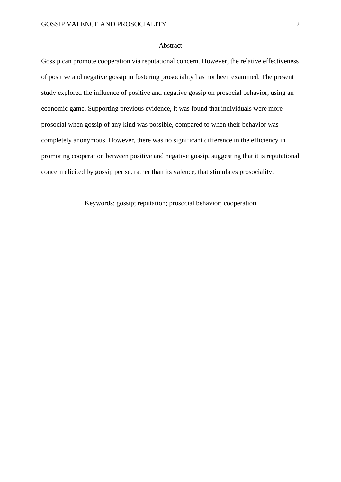#### Abstract

Gossip can promote cooperation via reputational concern. However, the relative effectiveness of positive and negative gossip in fostering prosociality has not been examined. The present study explored the influence of positive and negative gossip on prosocial behavior, using an economic game. Supporting previous evidence, it was found that individuals were more prosocial when gossip of any kind was possible, compared to when their behavior was completely anonymous. However, there was no significant difference in the efficiency in promoting cooperation between positive and negative gossip, suggesting that it is reputational concern elicited by gossip per se, rather than its valence, that stimulates prosociality.

Keywords: gossip; reputation; prosocial behavior; cooperation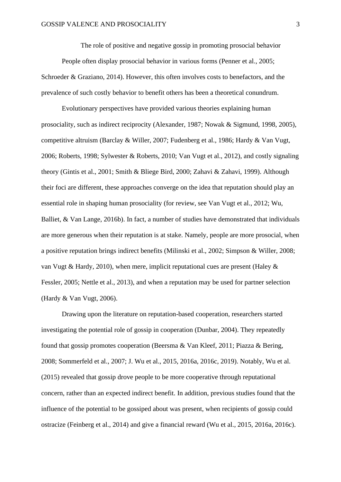The role of positive and negative gossip in promoting prosocial behavior

People often display prosocial behavior in various forms (Penner et al., 2005; Schroeder & Graziano, 2014). However, this often involves costs to benefactors, and the prevalence of such costly behavior to benefit others has been a theoretical conundrum.

Evolutionary perspectives have provided various theories explaining human prosociality, such as indirect reciprocity (Alexander, 1987; Nowak & Sigmund, 1998, 2005), competitive altruism (Barclay & Willer, 2007; Fudenberg et al., 1986; Hardy & Van Vugt, 2006; Roberts, 1998; Sylwester & Roberts, 2010; Van Vugt et al., 2012), and costly signaling theory (Gintis et al., 2001; Smith & Bliege Bird, 2000; Zahavi & Zahavi, 1999). Although their foci are different, these approaches converge on the idea that reputation should play an essential role in shaping human prosociality (for review, see Van Vugt et al., 2012; Wu, Balliet, & Van Lange, 2016b). In fact, a number of studies have demonstrated that individuals are more generous when their reputation is at stake. Namely, people are more prosocial, when a positive reputation brings indirect benefits (Milinski et al., 2002; Simpson & Willer, 2008; van Vugt & Hardy, 2010), when mere, implicit reputational cues are present (Haley & Fessler, 2005; Nettle et al., 2013), and when a reputation may be used for partner selection (Hardy & Van Vugt, 2006).

Drawing upon the literature on reputation-based cooperation, researchers started investigating the potential role of gossip in cooperation (Dunbar, 2004). They repeatedly found that gossip promotes cooperation (Beersma & Van Kleef, 2011; Piazza & Bering, 2008; Sommerfeld et al., 2007; J. Wu et al., 2015, 2016a, 2016c, 2019). Notably, Wu et al. (2015) revealed that gossip drove people to be more cooperative through reputational concern, rather than an expected indirect benefit. In addition, previous studies found that the influence of the potential to be gossiped about was present, when recipients of gossip could ostracize (Feinberg et al., 2014) and give a financial reward (Wu et al., 2015, 2016a, 2016c).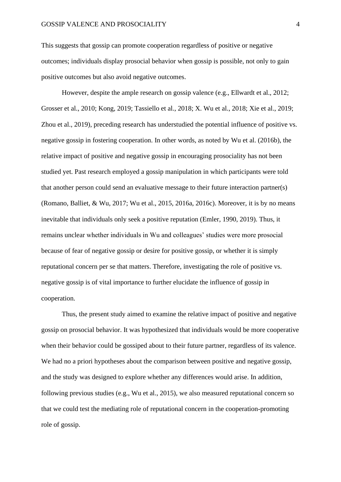This suggests that gossip can promote cooperation regardless of positive or negative outcomes; individuals display prosocial behavior when gossip is possible, not only to gain positive outcomes but also avoid negative outcomes.

However, despite the ample research on gossip valence (e.g., Ellwardt et al., 2012; Grosser et al., 2010; Kong, 2019; Tassiello et al., 2018; X. Wu et al., 2018; Xie et al., 2019; Zhou et al., 2019), preceding research has understudied the potential influence of positive vs. negative gossip in fostering cooperation. In other words, as noted by Wu et al. (2016b), the relative impact of positive and negative gossip in encouraging prosociality has not been studied yet. Past research employed a gossip manipulation in which participants were told that another person could send an evaluative message to their future interaction partner(s) (Romano, Balliet, & Wu, 2017; Wu et al., 2015, 2016a, 2016c). Moreover, it is by no means inevitable that individuals only seek a positive reputation (Emler, 1990, 2019). Thus, it remains unclear whether individuals in Wu and colleagues' studies were more prosocial because of fear of negative gossip or desire for positive gossip, or whether it is simply reputational concern per se that matters. Therefore, investigating the role of positive vs. negative gossip is of vital importance to further elucidate the influence of gossip in cooperation.

Thus, the present study aimed to examine the relative impact of positive and negative gossip on prosocial behavior. It was hypothesized that individuals would be more cooperative when their behavior could be gossiped about to their future partner, regardless of its valence. We had no a priori hypotheses about the comparison between positive and negative gossip, and the study was designed to explore whether any differences would arise. In addition, following previous studies (e.g., Wu et al., 2015), we also measured reputational concern so that we could test the mediating role of reputational concern in the cooperation-promoting role of gossip.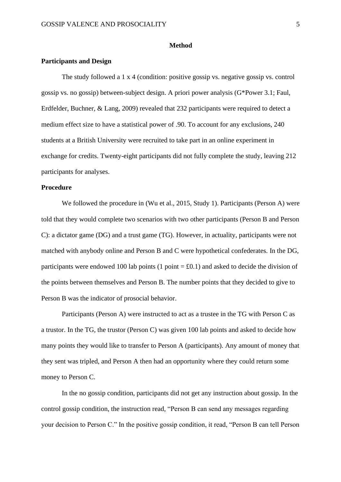#### **Method**

#### **Participants and Design**

The study followed a 1 x 4 (condition: positive gossip vs. negative gossip vs. control gossip vs. no gossip) between-subject design. A priori power analysis (G\*Power 3.1; Faul, Erdfelder, Buchner, & Lang, 2009) revealed that 232 participants were required to detect a medium effect size to have a statistical power of .90. To account for any exclusions, 240 students at a British University were recruited to take part in an online experiment in exchange for credits. Twenty-eight participants did not fully complete the study, leaving 212 participants for analyses.

## **Procedure**

We followed the procedure in (Wu et al., 2015, Study 1). Participants (Person A) were told that they would complete two scenarios with two other participants (Person B and Person C): a dictator game (DG) and a trust game (TG). However, in actuality, participants were not matched with anybody online and Person B and C were hypothetical confederates. In the DG, participants were endowed 100 lab points (1 point  $= £0.1$ ) and asked to decide the division of the points between themselves and Person B. The number points that they decided to give to Person B was the indicator of prosocial behavior.

Participants (Person A) were instructed to act as a trustee in the TG with Person C as a trustor. In the TG, the trustor (Person C) was given 100 lab points and asked to decide how many points they would like to transfer to Person A (participants). Any amount of money that they sent was tripled, and Person A then had an opportunity where they could return some money to Person C.

In the no gossip condition, participants did not get any instruction about gossip. In the control gossip condition, the instruction read, "Person B can send any messages regarding your decision to Person C." In the positive gossip condition, it read, "Person B can tell Person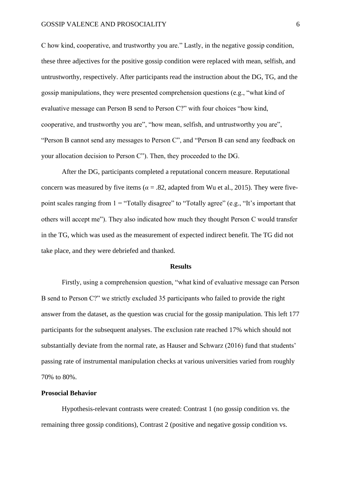C how kind, cooperative, and trustworthy you are." Lastly, in the negative gossip condition, these three adjectives for the positive gossip condition were replaced with mean, selfish, and untrustworthy, respectively. After participants read the instruction about the DG, TG, and the gossip manipulations, they were presented comprehension questions (e.g., "what kind of evaluative message can Person B send to Person C?" with four choices "how kind, cooperative, and trustworthy you are", "how mean, selfish, and untrustworthy you are", "Person B cannot send any messages to Person C", and "Person B can send any feedback on your allocation decision to Person C"). Then, they proceeded to the DG.

After the DG, participants completed a reputational concern measure. Reputational concern was measured by five items ( $\alpha = 0.82$ , adapted from Wu et al., 2015). They were fivepoint scales ranging from  $1 =$  "Totally disagree" to "Totally agree" (e.g., "It's important that others will accept me"). They also indicated how much they thought Person C would transfer in the TG, which was used as the measurement of expected indirect benefit. The TG did not take place, and they were debriefed and thanked.

#### **Results**

Firstly, using a comprehension question, "what kind of evaluative message can Person B send to Person C?" we strictly excluded 35 participants who failed to provide the right answer from the dataset, as the question was crucial for the gossip manipulation. This left 177 participants for the subsequent analyses. The exclusion rate reached 17% which should not substantially deviate from the normal rate, as Hauser and Schwarz (2016) fund that students' passing rate of instrumental manipulation checks at various universities varied from roughly 70% to 80%.

## **Prosocial Behavior**

Hypothesis-relevant contrasts were created: Contrast 1 (no gossip condition vs. the remaining three gossip conditions), Contrast 2 (positive and negative gossip condition vs.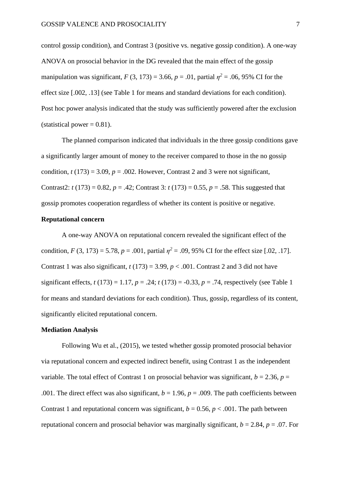control gossip condition), and Contrast 3 (positive vs. negative gossip condition). A one-way ANOVA on prosocial behavior in the DG revealed that the main effect of the gossip manipulation was significant,  $F(3, 173) = 3.66$ ,  $p = .01$ , partial  $\eta^2 = .06$ , 95% CI for the effect size [.002, .13] (see Table 1 for means and standard deviations for each condition). Post hoc power analysis indicated that the study was sufficiently powered after the exclusion (statistical power  $= 0.81$ ).

The planned comparison indicated that individuals in the three gossip conditions gave a significantly larger amount of money to the receiver compared to those in the no gossip condition,  $t(173) = 3.09$ ,  $p = .002$ . However, Contrast 2 and 3 were not significant, Contrast2:  $t(173) = 0.82$ ,  $p = .42$ ; Contrast 3:  $t(173) = 0.55$ ,  $p = .58$ . This suggested that gossip promotes cooperation regardless of whether its content is positive or negative.

## **Reputational concern**

A one-way ANOVA on reputational concern revealed the significant effect of the condition,  $F(3, 173) = 5.78$ ,  $p = .001$ , partial  $\eta^2 = .09$ , 95% CI for the effect size [.02, .17]. Contrast 1 was also significant,  $t(173) = 3.99$ ,  $p < .001$ . Contrast 2 and 3 did not have significant effects,  $t(173) = 1.17$ ,  $p = .24$ ;  $t(173) = -0.33$ ,  $p = .74$ , respectively (see Table 1) for means and standard deviations for each condition). Thus, gossip, regardless of its content, significantly elicited reputational concern.

### **Mediation Analysis**

Following Wu et al., (2015), we tested whether gossip promoted prosocial behavior via reputational concern and expected indirect benefit, using Contrast 1 as the independent variable. The total effect of Contrast 1 on prosocial behavior was significant,  $b = 2.36$ ,  $p =$ .001. The direct effect was also significant,  $b = 1.96$ ,  $p = .009$ . The path coefficients between Contrast 1 and reputational concern was significant,  $b = 0.56$ ,  $p < .001$ . The path between reputational concern and prosocial behavior was marginally significant,  $b = 2.84$ ,  $p = .07$ . For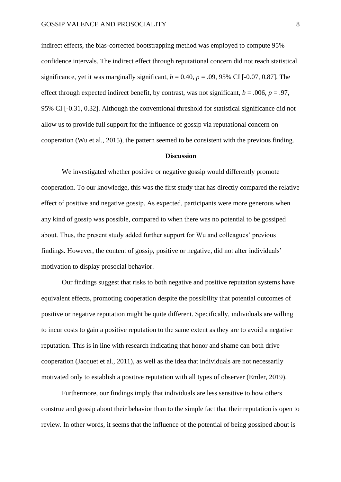indirect effects, the bias-corrected bootstrapping method was employed to compute 95% confidence intervals. The indirect effect through reputational concern did not reach statistical significance, yet it was marginally significant,  $b = 0.40$ ,  $p = .09$ , 95% CI [-0.07, 0.87]. The effect through expected indirect benefit, by contrast, was not significant,  $b = .006$ ,  $p = .97$ , 95% CI [-0.31, 0.32]. Although the conventional threshold for statistical significance did not allow us to provide full support for the influence of gossip via reputational concern on cooperation (Wu et al., 2015), the pattern seemed to be consistent with the previous finding.

#### **Discussion**

We investigated whether positive or negative gossip would differently promote cooperation. To our knowledge, this was the first study that has directly compared the relative effect of positive and negative gossip. As expected, participants were more generous when any kind of gossip was possible, compared to when there was no potential to be gossiped about. Thus, the present study added further support for Wu and colleagues' previous findings. However, the content of gossip, positive or negative, did not alter individuals' motivation to display prosocial behavior.

Our findings suggest that risks to both negative and positive reputation systems have equivalent effects, promoting cooperation despite the possibility that potential outcomes of positive or negative reputation might be quite different. Specifically, individuals are willing to incur costs to gain a positive reputation to the same extent as they are to avoid a negative reputation. This is in line with research indicating that honor and shame can both drive cooperation (Jacquet et al., 2011), as well as the idea that individuals are not necessarily motivated only to establish a positive reputation with all types of observer (Emler, 2019).

Furthermore, our findings imply that individuals are less sensitive to how others construe and gossip about their behavior than to the simple fact that their reputation is open to review. In other words, it seems that the influence of the potential of being gossiped about is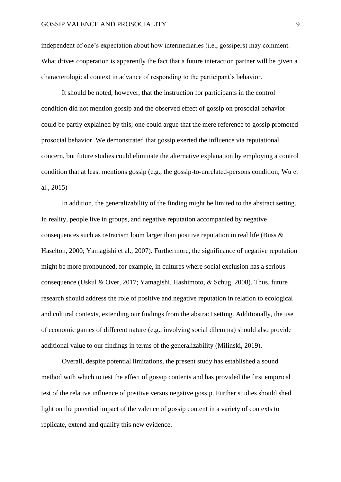independent of one's expectation about how intermediaries (i.e., gossipers) may comment. What drives cooperation is apparently the fact that a future interaction partner will be given a characterological context in advance of responding to the participant's behavior.

It should be noted, however, that the instruction for participants in the control condition did not mention gossip and the observed effect of gossip on prosocial behavior could be partly explained by this; one could argue that the mere reference to gossip promoted prosocial behavior. We demonstrated that gossip exerted the influence via reputational concern, but future studies could eliminate the alternative explanation by employing a control condition that at least mentions gossip (e.g., the gossip-to-unrelated-persons condition; Wu et al., 2015)

In addition, the generalizability of the finding might be limited to the abstract setting. In reality, people live in groups, and negative reputation accompanied by negative consequences such as ostracism loom larger than positive reputation in real life (Buss & Haselton, 2000; Yamagishi et al., 2007). Furthermore, the significance of negative reputation might be more pronounced, for example, in cultures where social exclusion has a serious consequence (Uskul & Over, 2017; Yamagishi, Hashimoto, & Schug, 2008). Thus, future research should address the role of positive and negative reputation in relation to ecological and cultural contexts, extending our findings from the abstract setting. Additionally, the use of economic games of different nature (e.g., involving social dilemma) should also provide additional value to our findings in terms of the generalizability (Milinski, 2019).

Overall, despite potential limitations, the present study has established a sound method with which to test the effect of gossip contents and has provided the first empirical test of the relative influence of positive versus negative gossip. Further studies should shed light on the potential impact of the valence of gossip content in a variety of contexts to replicate, extend and qualify this new evidence.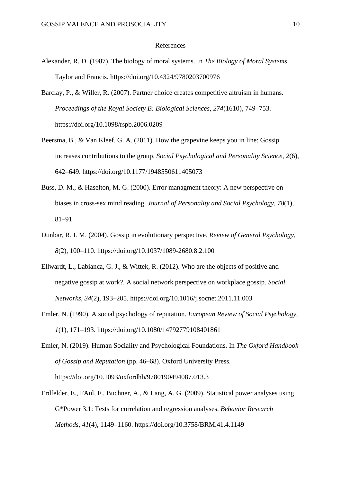#### References

- Alexander, R. D. (1987). The biology of moral systems. In *The Biology of Moral Systems*. Taylor and Francis. https://doi.org/10.4324/9780203700976
- Barclay, P., & Willer, R. (2007). Partner choice creates competitive altruism in humans. *Proceedings of the Royal Society B: Biological Sciences*, *274*(1610), 749–753. https://doi.org/10.1098/rspb.2006.0209
- Beersma, B., & Van Kleef, G. A. (2011). How the grapevine keeps you in line: Gossip increases contributions to the group. *Social Psychological and Personality Science*, *2*(6), 642–649. https://doi.org/10.1177/1948550611405073
- Buss, D. M., & Haselton, M. G. (2000). Error managment theory: A new perspective on biases in cross-sex mind reading. *Journal of Personality and Social Psychology*, *78*(1), 81–91.
- Dunbar, R. I. M. (2004). Gossip in evolutionary perspective. *Review of General Psychology*, *8*(2), 100–110. https://doi.org/10.1037/1089-2680.8.2.100
- Ellwardt, L., Labianca, G. J., & Wittek, R. (2012). Who are the objects of positive and negative gossip at work?. A social network perspective on workplace gossip. *Social Networks*, *34*(2), 193–205. https://doi.org/10.1016/j.socnet.2011.11.003
- Emler, N. (1990). A social psychology of reputation. *European Review of Social Psychology*, *1*(1), 171–193. https://doi.org/10.1080/14792779108401861
- Emler, N. (2019). Human Sociality and Psychological Foundations. In *The Oxford Handbook of Gossip and Reputation* (pp. 46–68). Oxford University Press. https://doi.org/10.1093/oxfordhb/9780190494087.013.3
- Erdfelder, E., FAul, F., Buchner, A., & Lang, A. G. (2009). Statistical power analyses using G\*Power 3.1: Tests for correlation and regression analyses. *Behavior Research Methods*, *41*(4), 1149–1160. https://doi.org/10.3758/BRM.41.4.1149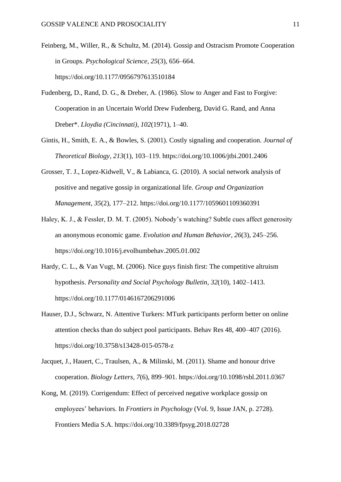- Feinberg, M., Willer, R., & Schultz, M. (2014). Gossip and Ostracism Promote Cooperation in Groups. *Psychological Science*, *25*(3), 656–664. https://doi.org/10.1177/0956797613510184
- Fudenberg, D., Rand, D. G., & Dreber, A. (1986). Slow to Anger and Fast to Forgive: Cooperation in an Uncertain World Drew Fudenberg, David G. Rand, and Anna Dreber\*. *Lloydia (Cincinnati)*, *102*(1971), 1–40.
- Gintis, H., Smith, E. A., & Bowles, S. (2001). Costly signaling and cooperation. *Journal of Theoretical Biology*, *213*(1), 103–119. https://doi.org/10.1006/jtbi.2001.2406
- Grosser, T. J., Lopez-Kidwell, V., & Labianca, G. (2010). A social network analysis of positive and negative gossip in organizational life. *Group and Organization Management*, *35*(2), 177–212. https://doi.org/10.1177/1059601109360391
- Haley, K. J., & Fessler, D. M. T. (2005). Nobody's watching? Subtle cues affect generosity an anonymous economic game. *Evolution and Human Behavior*, *26*(3), 245–256. https://doi.org/10.1016/j.evolhumbehav.2005.01.002
- Hardy, C. L., & Van Vugt, M. (2006). Nice guys finish first: The competitive altruism hypothesis. *Personality and Social Psychology Bulletin*, *32*(10), 1402–1413. https://doi.org/10.1177/0146167206291006
- Hauser, D.J., Schwarz, N. Attentive Turkers: MTurk participants perform better on online attention checks than do subject pool participants. Behav Res 48, 400–407 (2016). https://doi.org/10.3758/s13428-015-0578-z
- Jacquet, J., Hauert, C., Traulsen, A., & Milinski, M. (2011). Shame and honour drive cooperation. *Biology Letters*, *7*(6), 899–901. https://doi.org/10.1098/rsbl.2011.0367
- Kong, M. (2019). Corrigendum: Effect of perceived negative workplace gossip on employees' behaviors. In *Frontiers in Psychology* (Vol. 9, Issue JAN, p. 2728). Frontiers Media S.A. https://doi.org/10.3389/fpsyg.2018.02728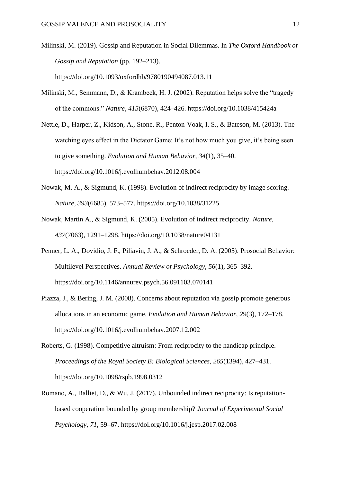- Milinski, M. (2019). Gossip and Reputation in Social Dilemmas. In *The Oxford Handbook of Gossip and Reputation* (pp. 192–213). https://doi.org/10.1093/oxfordhb/9780190494087.013.11
- Milinski, M., Semmann, D., & Krambeck, H. J. (2002). Reputation helps solve the "tragedy of the commons." *Nature*, *415*(6870), 424–426. https://doi.org/10.1038/415424a
- Nettle, D., Harper, Z., Kidson, A., Stone, R., Penton-Voak, I. S., & Bateson, M. (2013). The watching eyes effect in the Dictator Game: It's not how much you give, it's being seen to give something. *Evolution and Human Behavior*, *34*(1), 35–40. https://doi.org/10.1016/j.evolhumbehav.2012.08.004
- Nowak, M. A., & Sigmund, K. (1998). Evolution of indirect reciprocity by image scoring. *Nature*, *393*(6685), 573–577. https://doi.org/10.1038/31225
- Nowak, Martin A., & Sigmund, K. (2005). Evolution of indirect reciprocity. *Nature*, *437*(7063), 1291–1298. https://doi.org/10.1038/nature04131
- Penner, L. A., Dovidio, J. F., Piliavin, J. A., & Schroeder, D. A. (2005). Prosocial Behavior: Multilevel Perspectives. *Annual Review of Psychology*, *56*(1), 365–392. https://doi.org/10.1146/annurev.psych.56.091103.070141
- Piazza, J., & Bering, J. M. (2008). Concerns about reputation via gossip promote generous allocations in an economic game. *Evolution and Human Behavior*, *29*(3), 172–178. https://doi.org/10.1016/j.evolhumbehav.2007.12.002
- Roberts, G. (1998). Competitive altruism: From reciprocity to the handicap principle. *Proceedings of the Royal Society B: Biological Sciences*, *265*(1394), 427–431. https://doi.org/10.1098/rspb.1998.0312
- Romano, A., Balliet, D., & Wu, J. (2017). Unbounded indirect reciprocity: Is reputationbased cooperation bounded by group membership? *Journal of Experimental Social Psychology*, *71*, 59–67. https://doi.org/10.1016/j.jesp.2017.02.008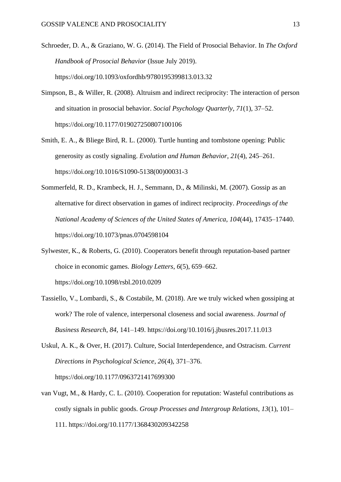- Schroeder, D. A., & Graziano, W. G. (2014). The Field of Prosocial Behavior. In *The Oxford Handbook of Prosocial Behavior* (Issue July 2019). https://doi.org/10.1093/oxfordhb/9780195399813.013.32
- Simpson, B., & Willer, R. (2008). Altruism and indirect reciprocity: The interaction of person and situation in prosocial behavior. *Social Psychology Quarterly*, *71*(1), 37–52. https://doi.org/10.1177/019027250807100106
- Smith, E. A., & Bliege Bird, R. L. (2000). Turtle hunting and tombstone opening: Public generosity as costly signaling. *Evolution and Human Behavior*, *21*(4), 245–261. https://doi.org/10.1016/S1090-5138(00)00031-3
- Sommerfeld, R. D., Krambeck, H. J., Semmann, D., & Milinski, M. (2007). Gossip as an alternative for direct observation in games of indirect reciprocity. *Proceedings of the National Academy of Sciences of the United States of America*, *104*(44), 17435–17440. https://doi.org/10.1073/pnas.0704598104
- Sylwester, K., & Roberts, G. (2010). Cooperators benefit through reputation-based partner choice in economic games. *Biology Letters*, *6*(5), 659–662. https://doi.org/10.1098/rsbl.2010.0209
- Tassiello, V., Lombardi, S., & Costabile, M. (2018). Are we truly wicked when gossiping at work? The role of valence, interpersonal closeness and social awareness. *Journal of Business Research*, *84*, 141–149. https://doi.org/10.1016/j.jbusres.2017.11.013
- Uskul, A. K., & Over, H. (2017). Culture, Social Interdependence, and Ostracism. *Current Directions in Psychological Science*, *26*(4), 371–376. https://doi.org/10.1177/0963721417699300
- van Vugt, M., & Hardy, C. L. (2010). Cooperation for reputation: Wasteful contributions as costly signals in public goods. *Group Processes and Intergroup Relations*, *13*(1), 101– 111. https://doi.org/10.1177/1368430209342258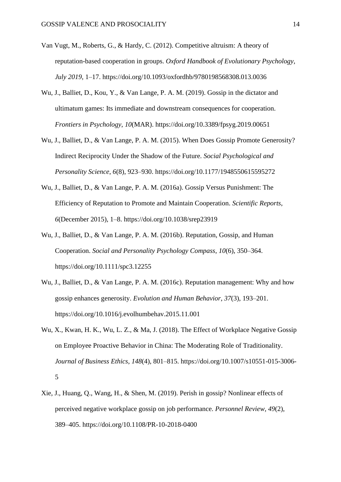- Van Vugt, M., Roberts, G., & Hardy, C. (2012). Competitive altruism: A theory of reputation-based cooperation in groups. *Oxford Handbook of Evolutionary Psychology*, *July 2019*, 1–17. https://doi.org/10.1093/oxfordhb/9780198568308.013.0036
- Wu, J., Balliet, D., Kou, Y., & Van Lange, P. A. M. (2019). Gossip in the dictator and ultimatum games: Its immediate and downstream consequences for cooperation. *Frontiers in Psychology*, *10*(MAR). https://doi.org/10.3389/fpsyg.2019.00651
- Wu, J., Balliet, D., & Van Lange, P. A. M. (2015). When Does Gossip Promote Generosity? Indirect Reciprocity Under the Shadow of the Future. *Social Psychological and Personality Science*, *6*(8), 923–930. https://doi.org/10.1177/1948550615595272
- Wu, J., Balliet, D., & Van Lange, P. A. M. (2016a). Gossip Versus Punishment: The Efficiency of Reputation to Promote and Maintain Cooperation. *Scientific Reports*, *6*(December 2015), 1–8. https://doi.org/10.1038/srep23919
- Wu, J., Balliet, D., & Van Lange, P. A. M. (2016b). Reputation, Gossip, and Human Cooperation. *Social and Personality Psychology Compass*, *10*(6), 350–364. https://doi.org/10.1111/spc3.12255
- Wu, J., Balliet, D., & Van Lange, P. A. M. (2016c). Reputation management: Why and how gossip enhances generosity. *Evolution and Human Behavior*, *37*(3), 193–201. https://doi.org/10.1016/j.evolhumbehav.2015.11.001
- Wu, X., Kwan, H. K., Wu, L. Z., & Ma, J. (2018). The Effect of Workplace Negative Gossip on Employee Proactive Behavior in China: The Moderating Role of Traditionality. *Journal of Business Ethics*, *148*(4), 801–815. https://doi.org/10.1007/s10551-015-3006- 5
- Xie, J., Huang, Q., Wang, H., & Shen, M. (2019). Perish in gossip? Nonlinear effects of perceived negative workplace gossip on job performance. *Personnel Review*, *49*(2), 389–405. https://doi.org/10.1108/PR-10-2018-0400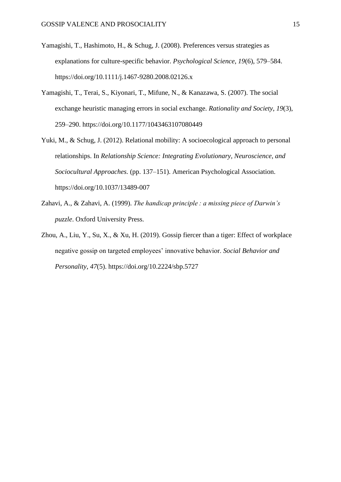- Yamagishi, T., Hashimoto, H., & Schug, J. (2008). Preferences versus strategies as explanations for culture-specific behavior. *Psychological Science*, *19*(6), 579–584. https://doi.org/10.1111/j.1467-9280.2008.02126.x
- Yamagishi, T., Terai, S., Kiyonari, T., Mifune, N., & Kanazawa, S. (2007). The social exchange heuristic managing errors in social exchange. *Rationality and Society*, *19*(3), 259–290. https://doi.org/10.1177/1043463107080449
- Yuki, M., & Schug, J. (2012). Relational mobility: A socioecological approach to personal relationships. In *Relationship Science: Integrating Evolutionary, Neuroscience, and Sociocultural Approaches.* (pp. 137–151). American Psychological Association. https://doi.org/10.1037/13489-007
- Zahavi, A., & Zahavi, A. (1999). *The handicap principle : a missing piece of Darwin's puzzle*. Oxford University Press.
- Zhou, A., Liu, Y., Su, X., & Xu, H. (2019). Gossip fiercer than a tiger: Effect of workplace negative gossip on targeted employees' innovative behavior. *Social Behavior and Personality*, *47*(5). https://doi.org/10.2224/sbp.5727